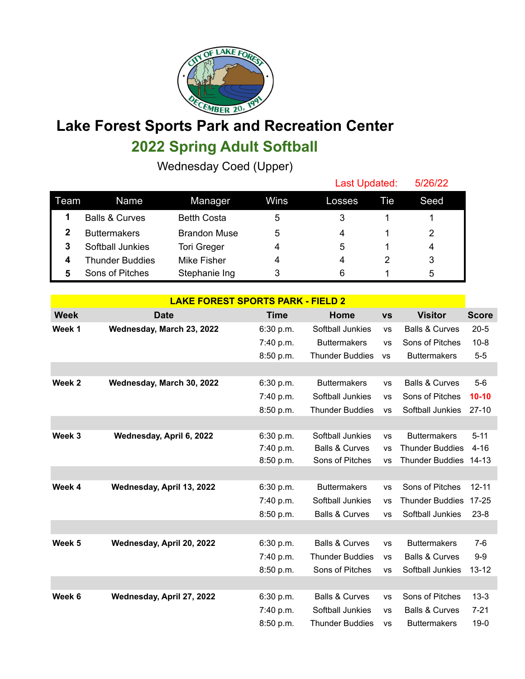

## **Lake Forest Sports Park and Recreation Center 2022 Spring Adult Softball**

Wednesday Coed (Upper)

|      |                           |                     |      | Last Updated: |     | 5/26/22 |  |
|------|---------------------------|---------------------|------|---------------|-----|---------|--|
| Team | Name                      | Manager             | Wins | Losses        | Tie | Seed    |  |
|      | <b>Balls &amp; Curves</b> | <b>Betth Costa</b>  | 5    | 3             |     |         |  |
|      | <b>Buttermakers</b>       | <b>Brandon Muse</b> | 5    | 4             |     | 2       |  |
| 3    | Softball Junkies          | <b>Tori Greger</b>  | 4    | 5             |     | 4       |  |
| 4    | <b>Thunder Buddies</b>    | Mike Fisher         | 4    | 4             |     | 3       |  |
| 5    | Sons of Pitches           | Stephanie Ing       | 3    | 6             |     | 5       |  |

| <b>LAKE FOREST SPORTS PARK - FIELD 2</b> |                           |             |                           |           |                           |              |  |
|------------------------------------------|---------------------------|-------------|---------------------------|-----------|---------------------------|--------------|--|
| <b>Week</b>                              | <b>Date</b>               | <b>Time</b> | Home                      | <b>VS</b> | <b>Visitor</b>            | <b>Score</b> |  |
| Week 1                                   | Wednesday, March 23, 2022 | 6:30 p.m.   | Softball Junkies          | <b>VS</b> | <b>Balls &amp; Curves</b> | $20 - 5$     |  |
|                                          |                           | 7:40 p.m.   | <b>Buttermakers</b>       | <b>VS</b> | Sons of Pitches           | $10 - 8$     |  |
|                                          |                           | 8:50 p.m.   | <b>Thunder Buddies</b>    | <b>VS</b> | <b>Buttermakers</b>       | $5-5$        |  |
|                                          |                           |             |                           |           |                           |              |  |
| Week 2                                   | Wednesday, March 30, 2022 | 6:30 p.m.   | <b>Buttermakers</b>       | <b>VS</b> | <b>Balls &amp; Curves</b> | $5-6$        |  |
|                                          |                           | 7:40 p.m.   | Softball Junkies          | <b>VS</b> | Sons of Pitches           | $10 - 10$    |  |
|                                          |                           | 8:50 p.m.   | <b>Thunder Buddies</b>    | <b>VS</b> | Softball Junkies          | $27-10$      |  |
|                                          |                           |             |                           |           |                           |              |  |
| Week 3                                   | Wednesday, April 6, 2022  | 6:30 p.m.   | Softball Junkies          | <b>VS</b> | <b>Buttermakers</b>       | $5 - 11$     |  |
|                                          |                           | 7:40 p.m.   | <b>Balls &amp; Curves</b> | <b>VS</b> | <b>Thunder Buddies</b>    | $4 - 16$     |  |
|                                          |                           | 8:50 p.m.   | Sons of Pitches           | <b>VS</b> | <b>Thunder Buddies</b>    | $14 - 13$    |  |
|                                          |                           |             |                           |           |                           |              |  |
| Week 4                                   | Wednesday, April 13, 2022 | 6:30 p.m.   | <b>Buttermakers</b>       | <b>VS</b> | Sons of Pitches           | $12 - 11$    |  |
|                                          |                           | 7:40 p.m.   | Softball Junkies          | <b>VS</b> | <b>Thunder Buddies</b>    | $17 - 25$    |  |
|                                          |                           | 8:50 p.m.   | <b>Balls &amp; Curves</b> | <b>VS</b> | Softball Junkies          | $23 - 8$     |  |
|                                          |                           |             |                           |           |                           |              |  |
| Week 5                                   | Wednesday, April 20, 2022 | 6:30 p.m.   | <b>Balls &amp; Curves</b> | <b>VS</b> | <b>Buttermakers</b>       | $7-6$        |  |
|                                          |                           | 7:40 p.m.   | <b>Thunder Buddies</b>    | <b>VS</b> | <b>Balls &amp; Curves</b> | $9-9$        |  |
|                                          |                           | 8:50 p.m.   | Sons of Pitches           | <b>VS</b> | Softball Junkies          | $13 - 12$    |  |
|                                          |                           |             |                           |           |                           |              |  |
| Week 6                                   | Wednesday, April 27, 2022 | 6:30 p.m.   | <b>Balls &amp; Curves</b> | <b>VS</b> | Sons of Pitches           | $13 - 3$     |  |
|                                          |                           | 7:40 p.m.   | Softball Junkies          | <b>VS</b> | <b>Balls &amp; Curves</b> | $7 - 21$     |  |
|                                          |                           | 8:50 p.m.   | <b>Thunder Buddies</b>    | <b>VS</b> | <b>Buttermakers</b>       | $19-0$       |  |